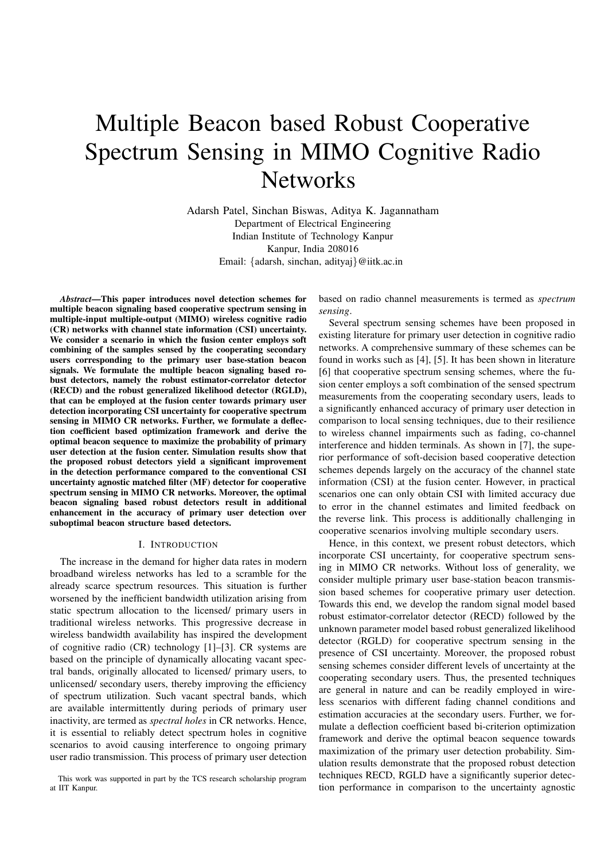# Multiple Beacon based Robust Cooperative Spectrum Sensing in MIMO Cognitive Radio Networks

Adarsh Patel, Sinchan Biswas, Aditya K. Jagannatham Department of Electrical Engineering Indian Institute of Technology Kanpur Kanpur, India 208016 Email: {adarsh, sinchan, adityaj}@iitk.ac.in

*Abstract***—This paper introduces novel detection schemes for multiple beacon signaling based cooperative spectrum sensing in multiple-input multiple-output (MIMO) wireless cognitive radio (CR) networks with channel state information (CSI) uncertainty. We consider a scenario in which the fusion center employs soft combining of the samples sensed by the cooperating secondary users corresponding to the primary user base-station beacon signals. We formulate the multiple beacon signaling based robust detectors, namely the robust estimator-correlator detector (RECD) and the robust generalized likelihood detector (RGLD), that can be employed at the fusion center towards primary user detection incorporating CSI uncertainty for cooperative spectrum sensing in MIMO CR networks. Further, we formulate a deflection coefficient based optimization framework and derive the optimal beacon sequence to maximize the probability of primary user detection at the fusion center. Simulation results show that the proposed robust detectors yield a significant improvement in the detection performance compared to the conventional CSI uncertainty agnostic matched filter (MF) detector for cooperative spectrum sensing in MIMO CR networks. Moreover, the optimal beacon signaling based robust detectors result in additional enhancement in the accuracy of primary user detection over suboptimal beacon structure based detectors.**

#### I. INTRODUCTION

The increase in the demand for higher data rates in modern broadband wireless networks has led to a scramble for the already scarce spectrum resources. This situation is further worsened by the inefficient bandwidth utilization arising from static spectrum allocation to the licensed/ primary users in traditional wireless networks. This progressive decrease in wireless bandwidth availability has inspired the development of cognitive radio (CR) technology [1]–[3]. CR systems are based on the principle of dynamically allocating vacant spectral bands, originally allocated to licensed/ primary users, to unlicensed/ secondary users, thereby improving the efficiency of spectrum utilization. Such vacant spectral bands, which are available intermittently during periods of primary user inactivity, are termed as *spectral holes* in CR networks. Hence, it is essential to reliably detect spectrum holes in cognitive scenarios to avoid causing interference to ongoing primary user radio transmission. This process of primary user detection based on radio channel measurements is termed as *spectrum sensing*.

Several spectrum sensing schemes have been proposed in existing literature for primary user detection in cognitive radio networks. A comprehensive summary of these schemes can be found in works such as [4], [5]. It has been shown in literature [6] that cooperative spectrum sensing schemes, where the fusion center employs a soft combination of the sensed spectrum measurements from the cooperating secondary users, leads to a significantly enhanced accuracy of primary user detection in comparison to local sensing techniques, due to their resilience to wireless channel impairments such as fading, co-channel interference and hidden terminals. As shown in [7], the superior performance of soft-decision based cooperative detection schemes depends largely on the accuracy of the channel state information (CSI) at the fusion center. However, in practical scenarios one can only obtain CSI with limited accuracy due to error in the channel estimates and limited feedback on the reverse link. This process is additionally challenging in cooperative scenarios involving multiple secondary users.

Hence, in this context, we present robust detectors, which incorporate CSI uncertainty, for cooperative spectrum sensing in MIMO CR networks. Without loss of generality, we consider multiple primary user base-station beacon transmission based schemes for cooperative primary user detection. Towards this end, we develop the random signal model based robust estimator-correlator detector (RECD) followed by the unknown parameter model based robust generalized likelihood detector (RGLD) for cooperative spectrum sensing in the presence of CSI uncertainty. Moreover, the proposed robust sensing schemes consider different levels of uncertainty at the cooperating secondary users. Thus, the presented techniques are general in nature and can be readily employed in wireless scenarios with different fading channel conditions and estimation accuracies at the secondary users. Further, we formulate a deflection coefficient based bi-criterion optimization framework and derive the optimal beacon sequence towards maximization of the primary user detection probability. Simulation results demonstrate that the proposed robust detection techniques RECD, RGLD have a significantly superior detection performance in comparison to the uncertainty agnostic

This work was supported in part by the TCS research scholarship program at IIT Kanpur.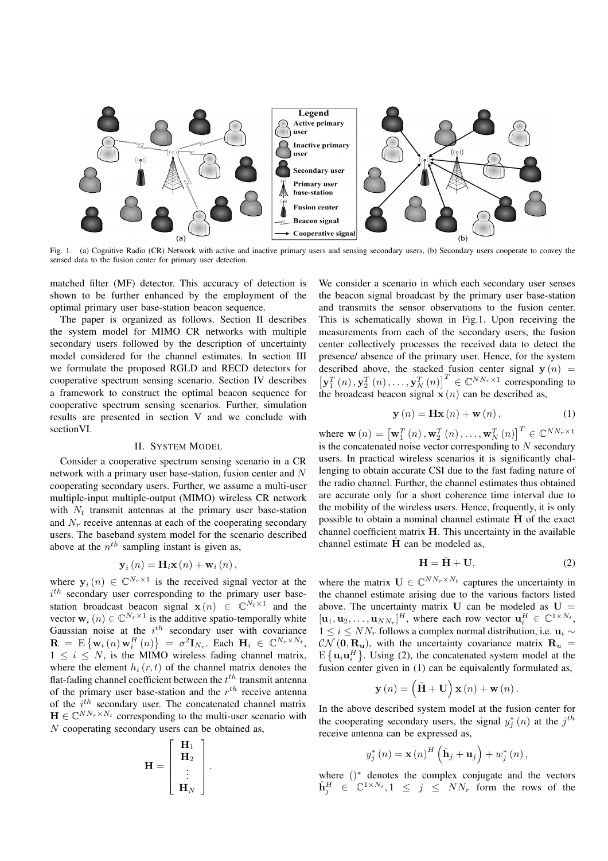

Fig. 1. (a) Cognitive Radio (CR) Network with active and inactive primary users and sensing secondary users, (b) Secondary users cooperate to convey the sensed data to the fusion center for primary user detection.

matched filter (MF) detector. This accuracy of detection is shown to be further enhanced by the employment of the optimal primary user base-station beacon sequence.

The paper is organized as follows. Section II describes the system model for MIMO CR networks with multiple secondary users followed by the description of uncertainty model considered for the channel estimates. In section III we formulate the proposed RGLD and RECD detectors for cooperative spectrum sensing scenario. Section IV describes a framework to construct the optimal beacon sequence for cooperative spectrum sensing scenarios. Further, simulation results are presented in section V and we conclude with sectionVI.

#### II. SYSTEM MODEL

Consider a cooperative spectrum sensing scenario in a CR network with a primary user base-station, fusion center and N cooperating secondary users. Further, we assume a multi-user multiple-input multiple-output (MIMO) wireless CR network with  $N_t$  transmit antennas at the primary user base-station and  $N_r$  receive antennas at each of the cooperating secondary users. The baseband system model for the scenario described above at the  $n^{th}$  sampling instant is given as,

$$
\mathbf{y}_{i}\left(n\right) = \mathbf{H}_{i}\mathbf{x}\left(n\right) + \mathbf{w}_{i}\left(n\right),\,
$$

where  $y_i(n) \in \mathbb{C}^{N_r \times 1}$  is the received signal vector at the  $i^{th}$  secondary user corresponding to the primary user basestation broadcast beacon signal  $\mathbf{x}(n) \in \mathbb{C}^{N_t \times 1}$  and the vector  $w_i(n) \in \mathbb{C}^{N_r \times 1}$  is the additive spatio-temporally white Gaussian noise at the  $i^{th}$  secondary user with covariance  $\mathbf{R} = \mathbf{E} \left\{ \mathbf{w}_i(n) \mathbf{w}_i^H(n) \right\} = \sigma^2 \mathbf{I}_{N_r}$ . Each  $\mathbf{H}_i \in \mathbb{C}^{N_r \times N_t}$ ,  $1 \leq i \leq N$ , is the MIMO wireless fading channel matrix, where the element  $h_i (r, t)$  of the channel matrix denotes the flat-fading channel coefficient between the  $t^{th}$  transmit antenna of the primary user base-station and the  $r^{th}$  receive antenna of the  $i^{th}$  secondary user. The concatenated channel matrix  $\mathbf{H} \in \mathbb{C}^{NN_r \times N_t}$  corresponding to the multi-user scenario with N cooperating secondary users can be obtained as,

$$
\mathbf{H} = \left[ \begin{array}{c} \mathbf{H}_1 \\ \mathbf{H}_2 \\ \vdots \\ \mathbf{H}_N \end{array} \right].
$$

We consider a scenario in which each secondary user senses the beacon signal broadcast by the primary user base-station and transmits the sensor observations to the fusion center. This is schematically shown in Fig.1. Upon receiving the measurements from each of the secondary users, the fusion center collectively processes the received data to detect the presence/ absence of the primary user. Hence, for the system described above, the stacked fusion center signal  $y(n)$  =  $\left[\mathbf{y}_1^T(n), \mathbf{y}_2^T(n), \ldots, \mathbf{y}_N^T(n)\right]^T \in \mathbb{C}^{NN_r \times 1}$  corresponding to the broadcast beacon signal  $\mathbf{x}(n)$  can be described as,

$$
\mathbf{y}(n) = \mathbf{H}\mathbf{x}(n) + \mathbf{w}(n), \qquad (1)
$$

where  $\mathbf{w}(n) = \left[\mathbf{w}_1^T(n), \mathbf{w}_2^T(n), \dots, \mathbf{w}_N^T(n)\right]^T \in \mathbb{C}^{NN_r \times 1}$ is the concatenated noise vector corresponding to  $N$  secondary users. In practical wireless scenarios it is significantly challenging to obtain accurate CSI due to the fast fading nature of the radio channel. Further, the channel estimates thus obtained are accurate only for a short coherence time interval due to the mobility of the wireless users. Hence, frequently, it is only possible to obtain a nominal channel estimate  $\hat{H}$  of the exact channel coefficient matrix H. This uncertainty in the available channel estimate  $\hat{H}$  can be modeled as,

$$
\mathbf{H} = \hat{\mathbf{H}} + \mathbf{U},\tag{2}
$$

where the matrix  $\mathbf{U} \in \mathbb{C}^{NN_r \times N_t}$  captures the uncertainty in the channel estimate arising due to the various factors listed above. The uncertainty matrix U can be modeled as  $U =$  $[\mathbf{u}_1, \mathbf{u}_2, \dots, \mathbf{u}_{NN_r}]^H$ , where each row vector  $\mathbf{u}_i^H \in \mathbb{C}^{1 \times N_t}$ ,  $1 \le i \le NN_r$  follows a complex normal distribution, i.e.  $\mathbf{u}_i \sim$  $\mathcal{CN}(\mathbf{0}, \mathbf{R}_{\mathrm{u}})$ , with the uncertainty covariance matrix  $\mathbf{R}_{u}$  =  $E\left\{\mathbf{u}_i \mathbf{u}_i^H\right\}$ . Using (2), the concatenated system model at the fusion center given in (1) can be equivalently formulated as,

$$
\mathbf{y}(n) = (\hat{\mathbf{H}} + \mathbf{U}) \mathbf{x}(n) + \mathbf{w}(n).
$$

In the above described system model at the fusion center for the cooperating secondary users, the signal  $y_j^*(n)$  at the  $j^{th}$ receive antenna can be expressed as,

$$
y_{j}^{*}(n) = \mathbf{x}(n)^{H}(\hat{\mathbf{h}}_{j} + \mathbf{u}_{j}) + w_{j}^{*}(n),
$$

where ()<sup>∗</sup> denotes the complex conjugate and the vectors  $\hat{\mathbf{h}}_j^H \in \mathbb{C}^{1 \times N_t}, 1 \leq j \leq N N_r$  form the rows of the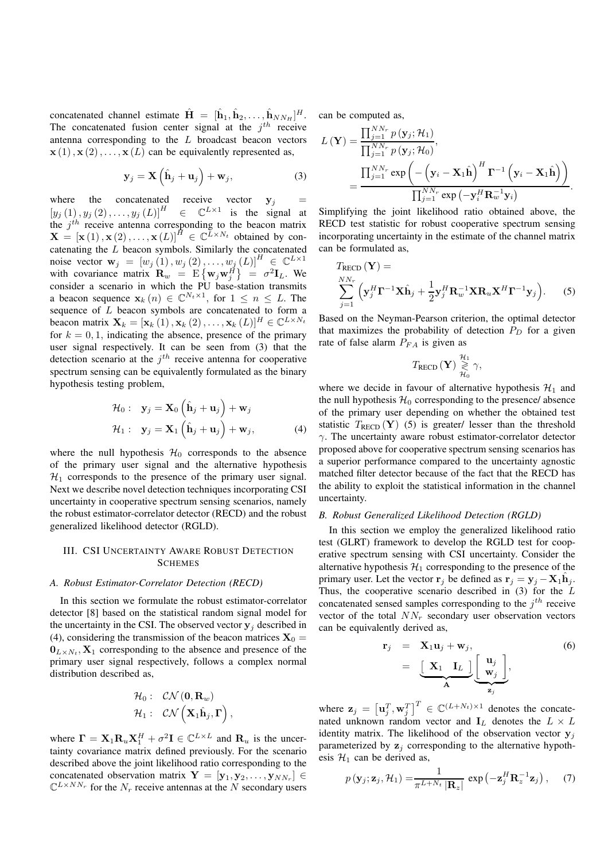concatenated channel estimate  $\hat{\mathbf{H}} = [\hat{\mathbf{h}}_1, \hat{\mathbf{h}}_2, \dots, \hat{\mathbf{h}}_{NN_H}]^H$ . The concatenated fusion center signal at the  $j<sup>th</sup>$  receive antenna corresponding to the L broadcast beacon vectors  $\mathbf{x}(1), \mathbf{x}(2), \dots, \mathbf{x}(L)$  can be equivalently represented as,

$$
\mathbf{y}_{j} = \mathbf{X} \left( \hat{\mathbf{h}}_{j} + \mathbf{u}_{j} \right) + \mathbf{w}_{j}, \qquad (3)
$$

where the concatenated receive vector  $y_j =$  $[y_j(1), y_j(2), \ldots, y_j(L)]^H \in \mathbb{C}^{L \times 1}$  is the signal at the  $j<sup>th</sup>$  receive antenna corresponding to the beacon matrix  $\mathbf{X} = [\mathbf{x}(1), \mathbf{x}(2), \dots, \mathbf{x}(L)]^H \in \mathbb{C}^{\bar{L} \times N_t}$  obtained by concatenating the L beacon symbols. Similarly the concatenated noise vector  $\mathbf{w}_j = [w_j(1), w_j(2), \dots, w_j(L)]^H \in \mathbb{C}^{L \times 1}$ with covariance matrix  $\mathbf{R}_w = \mathbb{E} \left\{ \mathbf{w}_j \mathbf{w}_j^H \right\} = \sigma^2 \mathbf{I}_L$ . We consider a scenario in which the PU base-station transmits a beacon sequence  $\mathbf{x}_k(n) \in \mathbb{C}^{N_t \times 1}$ , for  $1 \leq n \leq L$ . The sequence of L beacon symbols are concatenated to form a beacon matrix  $\mathbf{X}_k = [\mathbf{x}_k(1), \mathbf{x}_k(2), \dots, \mathbf{x}_k(L)]^H \in \mathbb{C}^{L \times N_t}$ for  $k = 0, 1$ , indicating the absence, presence of the primary user signal respectively. It can be seen from (3) that the detection scenario at the  $j<sup>th</sup>$  receive antenna for cooperative spectrum sensing can be equivalently formulated as the binary hypothesis testing problem,

$$
\mathcal{H}_0: \quad \mathbf{y}_j = \mathbf{X}_0 \left( \hat{\mathbf{h}}_j + \mathbf{u}_j \right) + \mathbf{w}_j
$$
\n
$$
\mathcal{H}_1: \quad \mathbf{y}_j = \mathbf{X}_1 \left( \hat{\mathbf{h}}_j + \mathbf{u}_j \right) + \mathbf{w}_j,\tag{4}
$$

where the null hypothesis  $\mathcal{H}_0$  corresponds to the absence of the primary user signal and the alternative hypothesis  $\mathcal{H}_1$  corresponds to the presence of the primary user signal. Next we describe novel detection techniques incorporating CSI uncertainty in cooperative spectrum sensing scenarios, namely the robust estimator-correlator detector (RECD) and the robust generalized likelihood detector (RGLD).

### III. CSI UNCERTAINTY AWARE ROBUST DETECTION **SCHEMES**

#### *A. Robust Estimator-Correlator Detection (RECD)*

In this section we formulate the robust estimator-correlator detector [8] based on the statistical random signal model for the uncertainty in the CSI. The observed vector  $y_j$  described in (4), considering the transmission of the beacon matrices  $X_0 =$  $\mathbf{0}_{L\times N_t}$ ,  $\mathbf{X}_1$  corresponding to the absence and presence of the primary user signal respectively, follows a complex normal distribution described as,

$$
\mathcal{H}_0: \quad \mathcal{CN}\left(\mathbf{0},\mathbf{R}_w\right)\\ \mathcal{H}_1: \quad \mathcal{CN}\left(\mathbf{X}_1\hat{\mathbf{h}}_j,\boldsymbol{\Gamma}\right),
$$

where  $\mathbf{\Gamma} = \mathbf{X}_1 \mathbf{R}_u \mathbf{X}_1^H + \sigma^2 \mathbf{I} \in \mathbb{C}^{L \times L}$  and  $\mathbf{R}_u$  is the uncertainty covariance matrix defined previously. For the scenario described above the joint likelihood ratio corresponding to the concatenated observation matrix  $\mathbf{Y} = [\mathbf{y}_1, \mathbf{y}_2, \dots, \mathbf{y}_{NN_r}] \in$  $\mathbb{C}^{L\times NN_r}$  for the  $N_r$  receive antennas at the N secondary users can be computed as,

$$
L(\mathbf{Y}) = \frac{\prod_{j=1}^{NN_r} p(\mathbf{y}_j; \mathcal{H}_1)}{\prod_{j=1}^{NN_r} p(\mathbf{y}_j; \mathcal{H}_0)},
$$
  
= 
$$
\frac{\prod_{j=1}^{NN_r} \exp\left(-(\mathbf{y}_i - \mathbf{X}_1 \hat{\mathbf{h}})\right)^H \mathbf{\Gamma}^{-1} (\mathbf{y}_i - \mathbf{X}_1 \hat{\mathbf{h}})\right)}{\prod_{j=1}^{NN_r} \exp(-\mathbf{y}_i^H \mathbf{R}_w^{-1} \mathbf{y}_i)}.
$$

Simplifying the joint likelihood ratio obtained above, the RECD test statistic for robust cooperative spectrum sensing incorporating uncertainty in the estimate of the channel matrix can be formulated as,

$$
T_{\text{RECD}}(\mathbf{Y}) = \sum_{j=1}^{NN_r} \left( \mathbf{y}_j^H \mathbf{\Gamma}^{-1} \mathbf{X} \hat{\mathbf{h}}_j + \frac{1}{2} \mathbf{y}_j^H \mathbf{R}_w^{-1} \mathbf{X} \mathbf{R}_u \mathbf{X}^H \mathbf{\Gamma}^{-1} \mathbf{y}_j \right).
$$
 (5)

Based on the Neyman-Pearson criterion, the optimal detector that maximizes the probability of detection  $P_D$  for a given rate of false alarm  $P_{FA}$  is given as

$$
T_{\text{RECD}}(\mathbf{Y}) \underset{\mathcal{H}_0}{\overset{\mathcal{H}_1}{\gtrless}} \gamma,
$$

where we decide in favour of alternative hypothesis  $\mathcal{H}_1$  and the null hypothesis  $\mathcal{H}_0$  corresponding to the presence/ absence of the primary user depending on whether the obtained test statistic  $T_{\text{RECD}}(\mathbf{Y})$  (5) is greater/ lesser than the threshold  $\gamma$ . The uncertainty aware robust estimator-correlator detector proposed above for cooperative spectrum sensing scenarios has a superior performance compared to the uncertainty agnostic matched filter detector because of the fact that the RECD has the ability to exploit the statistical information in the channel uncertainty.

#### *B. Robust Generalized Likelihood Detection (RGLD)*

In this section we employ the generalized likelihood ratio test (GLRT) framework to develop the RGLD test for cooperative spectrum sensing with CSI uncertainty. Consider the alternative hypothesis  $\mathcal{H}_1$  corresponding to the presence of the primary user. Let the vector  $\mathbf{r}_j$  be defined as  $\mathbf{r}_j = \mathbf{y}_j - \mathbf{X}_1 \hat{\mathbf{h}}_j$ . Thus, the cooperative scenario described in  $(3)$  for the  $L$ concatenated sensed samples corresponding to the  $j<sup>th</sup>$  receive vector of the total  $NN_r$  secondary user observation vectors can be equivalently derived as,

$$
\mathbf{r}_{j} = \mathbf{X}_{1}\mathbf{u}_{j} + \mathbf{w}_{j},
$$
\n
$$
= \underbrace{\begin{bmatrix} \mathbf{X}_{1} & \mathbf{I}_{L} \end{bmatrix}}_{\mathbf{A}} \underbrace{\begin{bmatrix} \mathbf{u}_{j} \\ \mathbf{w}_{j} \end{bmatrix}}_{\mathbf{z}_{j}},
$$
\n(6)

where  $\mathbf{z}_j = \left[\mathbf{u}_j^T, \mathbf{w}_j^T\right]^T \in \mathbb{C}^{(L+N_t)\times 1}$  denotes the concatenated unknown random vector and  $I_L$  denotes the  $L \times L$ identity matrix. The likelihood of the observation vector  $y_i$ parameterized by  $z_i$  corresponding to the alternative hypothesis  $\mathcal{H}_1$  can be derived as,

$$
p(\mathbf{y}_j; \mathbf{z}_j, \mathcal{H}_1) = \frac{1}{\pi^{L+N_t} |\mathbf{R}_z|} \exp\left(-\mathbf{z}_j^H \mathbf{R}_z^{-1} \mathbf{z}_j\right), \quad (7)
$$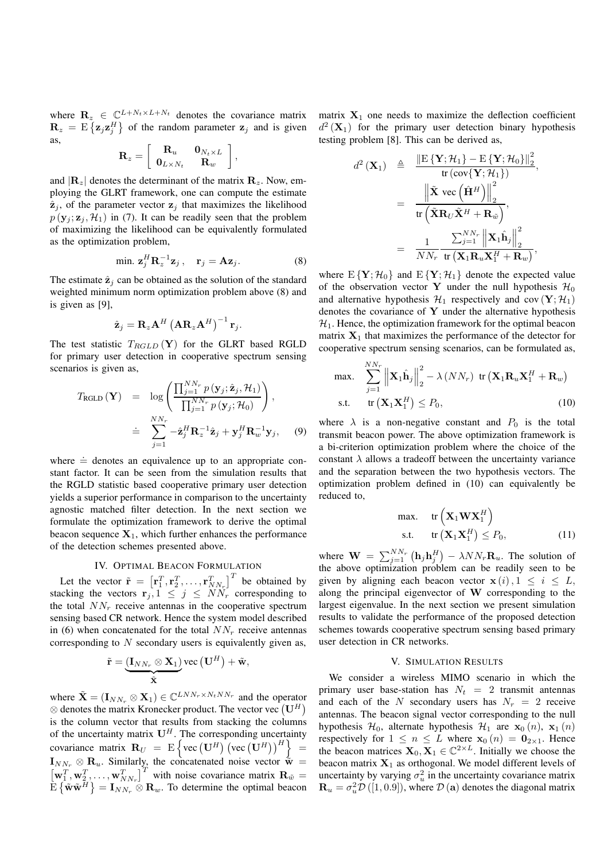where  $\mathbf{R}_z \in \mathbb{C}^{L+N_t \times L+N_t}$  denotes the covariance matrix  $\mathbf{R}_z = \mathbf{E} \{ \mathbf{z}_j \mathbf{z}_j^H \}$  of the random parameter  $\mathbf{z}_j$  and is given as,

$$
\mathbf{R}_z = \left[ \begin{array}{cc} \mathbf{R}_u & \mathbf{0}_{N_t \times L} \\ \mathbf{0}_{L \times N_t} & \mathbf{R}_w \end{array} \right],
$$

and  $|\mathbf{R}_z|$  denotes the determinant of the matrix  $\mathbf{R}_z$ . Now, employing the GLRT framework, one can compute the estimate  $\hat{\mathbf{z}}_j$ , of the parameter vector  $\mathbf{z}_j$  that maximizes the likelihood  $p(\mathbf{y}_i; \mathbf{z}_i, \mathcal{H}_1)$  in (7). It can be readily seen that the problem of maximizing the likelihood can be equivalently formulated as the optimization problem,

$$
\min. \mathbf{z}_{j}^{H} \mathbf{R}_{z}^{-1} \mathbf{z}_{j}, \quad \mathbf{r}_{j} = \mathbf{A} \mathbf{z}_{j}.
$$
 (8)

The estimate  $\hat{\mathbf{z}}_j$  can be obtained as the solution of the standard weighted minimum norm optimization problem above (8) and is given as [9],

 $\mathbf{H}$ 

$$
\hat{\mathbf{z}}_j = \mathbf{R}_z \mathbf{A}^H \left( \mathbf{A} \mathbf{R}_z \mathbf{A}^H \right)^{-1} \mathbf{r}_j.
$$

The test statistic  $T_{RGLD}(\mathbf{Y})$  for the GLRT based RGLD for primary user detection in cooperative spectrum sensing scenarios is given as,

$$
T_{\text{RGLD}}(\mathbf{Y}) = \log \left( \frac{\prod_{j=1}^{NN_r} p(\mathbf{y}_j; \hat{\mathbf{z}}_j, \mathcal{H}_1)}{\prod_{j=1}^{NN_r} p(\mathbf{y}_j; \mathcal{H}_0)} \right),
$$
  

$$
\doteq \sum_{j=1}^{NN_r} -\hat{\mathbf{z}}_j^H \mathbf{R}_z^{-1} \hat{\mathbf{z}}_j + \mathbf{y}_j^H \mathbf{R}_w^{-1} \mathbf{y}_j, \quad (9)
$$

where  $\dot{=}$  denotes an equivalence up to an appropriate constant factor. It can be seen from the simulation results that the RGLD statistic based cooperative primary user detection yields a superior performance in comparison to the uncertainty agnostic matched filter detection. In the next section we formulate the optimization framework to derive the optimal beacon sequence  $X_1$ , which further enhances the performance of the detection schemes presented above.

# IV. OPTIMAL BEACON FORMULATION

Let the vector  $\tilde{\mathbf{r}} = \begin{bmatrix} \mathbf{r}_1^T, \mathbf{r}_2^T, \dots, \mathbf{r}_{NN_r}^T \end{bmatrix}^T$  be obtained by stacking the vectors  $\mathbf{r}_j, 1 \leq j \leq NN_r$  corresponding to the total  $NN_r$  receive antennas in the cooperative spectrum sensing based CR network. Hence the system model described in (6) when concatenated for the total  $NN_r$  receive antennas corresponding to  $N$  secondary users is equivalently given as,

$$
\tilde{\mathbf{r}} = \underbrace{(\mathbf{I}_{NN_r} \otimes \mathbf{X}_1)}_{\tilde{\mathbf{X}}} \text{vec}(\mathbf{U}^H) + \tilde{\mathbf{w}},
$$

where  $\tilde{\mathbf{X}} = (\mathbf{I}_{NN_r} \otimes \mathbf{X}_1) \in \mathbb{C}^{LNN_r \times N_t NN_r}$  and the operator  $\otimes$  denotes the matrix Kronecker product. The vector vec  $(\mathbf{U}^H)$ is the column vector that results from stacking the columns of the uncertainty matrix  $U^H$ . The corresponding uncertainty covariance matrix  $\mathbf{R}_U = \mathbb{E} \left\{ \text{vec} \left( \mathbf{U}^H \right) \left( \text{vec} \left( \mathbf{U}^H \right) \right)^H \right\} =$  $\mathbf{I}_{NN_r} \otimes \mathbf{R}_u$ . Similarly, the concatenated noise vector  $\tilde{\mathbf{w}} =$  $\left[\mathbf{w}_1^T, \mathbf{w}_2^T, \dots, \mathbf{w}_{NN_r}^T\right]^T$  with noise covariance matrix  $\mathbf{R}_{\tilde{w}} =$  $\mathbb{E}\left\{\tilde{\mathbf{w}}\tilde{\mathbf{w}}^H\right\} = \mathbf{I}_{NN_r} \otimes \mathbf{R}_w$ . To determine the optimal beacon

matrix  $X_1$  one needs to maximize the deflection coefficient  $d^2$  (X<sub>1</sub>) for the primary user detection binary hypothesis testing problem [8]. This can be derived as,

$$
d^{2}(\mathbf{X}_{1}) \triangleq \frac{\left\| \mathbf{E}\left\{ \mathbf{Y}; \mathcal{H}_{1} \right\} - \mathbf{E}\left\{ \mathbf{Y}; \mathcal{H}_{0} \right\} \right\|_{2}^{2}}{\operatorname{tr}(\operatorname{cov}\left\{ \mathbf{Y}; \mathcal{H}_{1} \right\})} = \frac{\left\| \tilde{\mathbf{X}} \operatorname{vec}\left( \hat{\mathbf{H}}^{H} \right) \right\|_{2}^{2}}{\operatorname{tr}\left( \tilde{\mathbf{X}} \mathbf{R}_{U} \tilde{\mathbf{X}}^{H} + \mathbf{R}_{\tilde{w}} \right)}, = \frac{1}{NN_{r}} \frac{\sum_{j=1}^{NN_{r}} \left\| \mathbf{X}_{1} \hat{\mathbf{h}}_{j} \right\|_{2}^{2}}{\operatorname{tr}\left( \mathbf{X}_{1} \mathbf{R}_{u} \mathbf{X}_{1}^{H} + \mathbf{R}_{w} \right)},
$$

where  $E \{Y; \mathcal{H}_0\}$  and  $E \{Y; \mathcal{H}_1\}$  denote the expected value of the observation vector Y under the null hypothesis  $\mathcal{H}_0$ and alternative hypothesis  $\mathcal{H}_1$  respectively and cov  $(\mathbf{Y}; \mathcal{H}_1)$ denotes the covariance of  $Y$  under the alternative hypothesis  $\mathcal{H}_1$ . Hence, the optimization framework for the optimal beacon matrix  $X_1$  that maximizes the performance of the detector for cooperative spectrum sensing scenarios, can be formulated as,

$$
\begin{aligned}\n\max. \quad & \sum_{j=1}^{NN_r} \left\| \mathbf{X}_1 \hat{\mathbf{h}}_j \right\|_2^2 - \lambda \left( NN_r \right) \, \text{tr} \left( \mathbf{X}_1 \mathbf{R}_u \mathbf{X}_1^H + \mathbf{R}_w \right) \\
\text{s.t.} \quad & \text{tr} \left( \mathbf{X}_1 \mathbf{X}_1^H \right) \le P_0,\n\end{aligned} \tag{10}
$$

where  $\lambda$  is a non-negative constant and  $P_0$  is the total transmit beacon power. The above optimization framework is a bi-criterion optimization problem where the choice of the constant  $\lambda$  allows a tradeoff between the uncertainty variance and the separation between the two hypothesis vectors. The optimization problem defined in (10) can equivalently be reduced to,

$$
\begin{array}{ll}\n\text{max.} & \text{tr}\left(\mathbf{X}_1 \mathbf{W} \mathbf{X}_1^H\right) \\
\text{s.t.} & \text{tr}\left(\mathbf{X}_1 \mathbf{X}_1^H\right) \le P_0,\n\end{array} \tag{11}
$$

where  $\mathbf{W} = \sum_{j=1}^{NN_r} \left( \mathbf{h}_j \mathbf{h}_j^H \right) - \lambda N N_r \mathbf{R}_u$ . The solution of the above optimization problem can be readily seen to be given by aligning each beacon vector  $x(i)$ ,  $1 \le i \le L$ , along the principal eigenvector of W corresponding to the largest eigenvalue. In the next section we present simulation results to validate the performance of the proposed detection schemes towards cooperative spectrum sensing based primary user detection in CR networks.

#### V. SIMULATION RESULTS

We consider a wireless MIMO scenario in which the primary user base-station has  $N_t = 2$  transmit antennas and each of the N secondary users has  $N_r = 2$  receive antennas. The beacon signal vector corresponding to the null hypothesis  $\mathcal{H}_0$ , alternate hypothesis  $\mathcal{H}_1$  are  $\mathbf{x}_0(n)$ ,  $\mathbf{x}_1(n)$ respectively for  $1 \leq n \leq L$  where  $\mathbf{x}_0(n) = \mathbf{0}_{2 \times 1}$ . Hence the beacon matrices  $X_0, X_1 \in \mathbb{C}^{2 \times L}$ . Initially we choose the beacon matrix  $X_1$  as orthogonal. We model different levels of uncertainty by varying  $\sigma_u^2$  in the uncertainty covariance matrix  $\mathbf{R}_u = \sigma_u^2 \mathcal{D}\left([1,0.9]\right)$ , where  $\mathcal{D}\left(\mathbf{a}\right)$  denotes the diagonal matrix